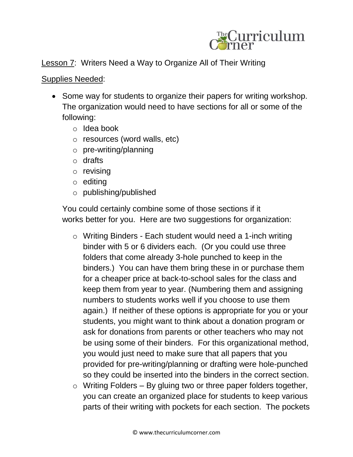

Lesson 7: Writers Need a Way to Organize All of Their Writing

## Supplies Needed:

- Some way for students to organize their papers for writing workshop. The organization would need to have sections for all or some of the following:
	- o Idea book
	- o resources (word walls, etc)
	- o pre-writing/planning
	- o drafts
	- o revising
	- o editing
	- o publishing/published

You could certainly combine some of those sections if it works better for you. Here are two suggestions for organization:

- o Writing Binders Each student would need a 1-inch writing binder with 5 or 6 dividers each. (Or you could use three folders that come already 3-hole punched to keep in the binders.) You can have them bring these in or purchase them for a cheaper price at back-to-school sales for the class and keep them from year to year. (Numbering them and assigning numbers to students works well if you choose to use them again.) If neither of these options is appropriate for you or your students, you might want to think about a donation program or ask for donations from parents or other teachers who may not be using some of their binders. For this organizational method, you would just need to make sure that all papers that you provided for pre-writing/planning or drafting were hole-punched so they could be inserted into the binders in the correct section.
- $\circ$  Writing Folders By gluing two or three paper folders together, you can create an organized place for students to keep various parts of their writing with pockets for each section. The pockets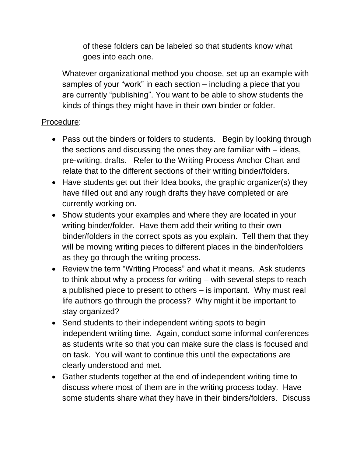of these folders can be labeled so that students know what goes into each one.

Whatever organizational method you choose, set up an example with samples of your "work" in each section – including a piece that you are currently "publishing". You want to be able to show students the kinds of things they might have in their own binder or folder.

## Procedure:

- Pass out the binders or folders to students. Begin by looking through the sections and discussing the ones they are familiar with – ideas, pre-writing, drafts. Refer to the Writing Process Anchor Chart and relate that to the different sections of their writing binder/folders.
- Have students get out their Idea books, the graphic organizer(s) they have filled out and any rough drafts they have completed or are currently working on.
- Show students your examples and where they are located in your writing binder/folder. Have them add their writing to their own binder/folders in the correct spots as you explain. Tell them that they will be moving writing pieces to different places in the binder/folders as they go through the writing process.
- Review the term "Writing Process" and what it means. Ask students to think about why a process for writing – with several steps to reach a published piece to present to others – is important. Why must real life authors go through the process? Why might it be important to stay organized?
- Send students to their independent writing spots to begin independent writing time. Again, conduct some informal conferences as students write so that you can make sure the class is focused and on task. You will want to continue this until the expectations are clearly understood and met.
- Gather students together at the end of independent writing time to discuss where most of them are in the writing process today. Have some students share what they have in their binders/folders. Discuss